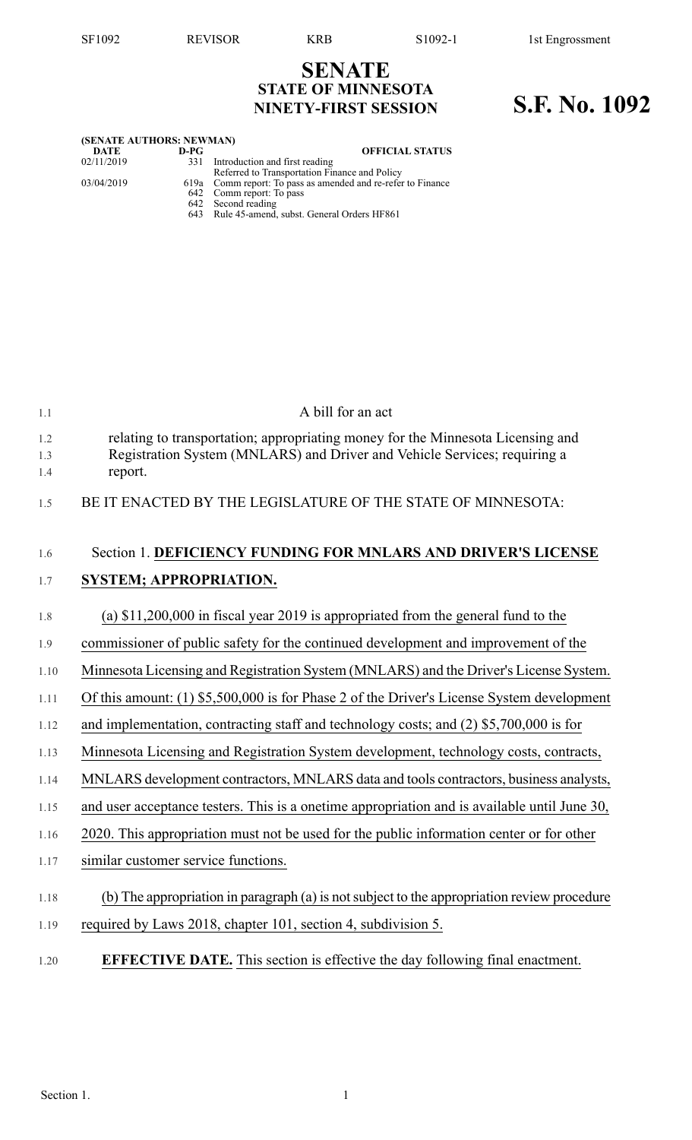## **SENATE STATE OF MINNESOTA NINETY-FIRST SESSION S.F. No. 1092**

| (SENATE AUTHORS: NEWMAN) |      |                                                              |  |  |  |  |  |
|--------------------------|------|--------------------------------------------------------------|--|--|--|--|--|
| DATE                     | D-PG | <b>OFFICIAL STATUS</b>                                       |  |  |  |  |  |
| 02/11/2019               | 331  | Introduction and first reading                               |  |  |  |  |  |
|                          |      | Referred to Transportation Finance and Policy                |  |  |  |  |  |
| 03/04/2019               |      | 619a Comm report: To pass as amended and re-refer to Finance |  |  |  |  |  |
|                          |      | 642 Comm report: To pass                                     |  |  |  |  |  |
|                          |      | 642 Second reading                                           |  |  |  |  |  |
|                          |      | 643 Rule 45-amend, subst. General Orders HF861               |  |  |  |  |  |
|                          |      |                                                              |  |  |  |  |  |

| 1.1               | A bill for an act                                                                                                                                                       |
|-------------------|-------------------------------------------------------------------------------------------------------------------------------------------------------------------------|
| 1.2<br>1.3<br>1.4 | relating to transportation; appropriating money for the Minnesota Licensing and<br>Registration System (MNLARS) and Driver and Vehicle Services; requiring a<br>report. |
| 1.5               | BE IT ENACTED BY THE LEGISLATURE OF THE STATE OF MINNESOTA:                                                                                                             |
| 1.6               | Section 1. DEFICIENCY FUNDING FOR MNLARS AND DRIVER'S LICENSE                                                                                                           |
| 1.7               | <b>SYSTEM; APPROPRIATION.</b>                                                                                                                                           |
| 1.8               | (a) $$11,200,000$ in fiscal year 2019 is appropriated from the general fund to the                                                                                      |
| 1.9               | commissioner of public safety for the continued development and improvement of the                                                                                      |
| 1.10              | Minnesota Licensing and Registration System (MNLARS) and the Driver's License System.                                                                                   |
| 1.11              | Of this amount: (1) \$5,500,000 is for Phase 2 of the Driver's License System development                                                                               |
| 1.12              | and implementation, contracting staff and technology costs; and (2) \$5,700,000 is for                                                                                  |
| 1.13              | Minnesota Licensing and Registration System development, technology costs, contracts,                                                                                   |
| 1.14              | MNLARS development contractors, MNLARS data and tools contractors, business analysts,                                                                                   |
| 1.15              | and user acceptance testers. This is a onetime appropriation and is available until June 30,                                                                            |
| 1.16              | 2020. This appropriation must not be used for the public information center or for other                                                                                |
| 1.17              | similar customer service functions.                                                                                                                                     |
| 1.18              | (b) The appropriation in paragraph (a) is not subject to the appropriation review procedure                                                                             |
| 1.19              | required by Laws 2018, chapter 101, section 4, subdivision 5.                                                                                                           |
| 1.20              | <b>EFFECTIVE DATE.</b> This section is effective the day following final enactment.                                                                                     |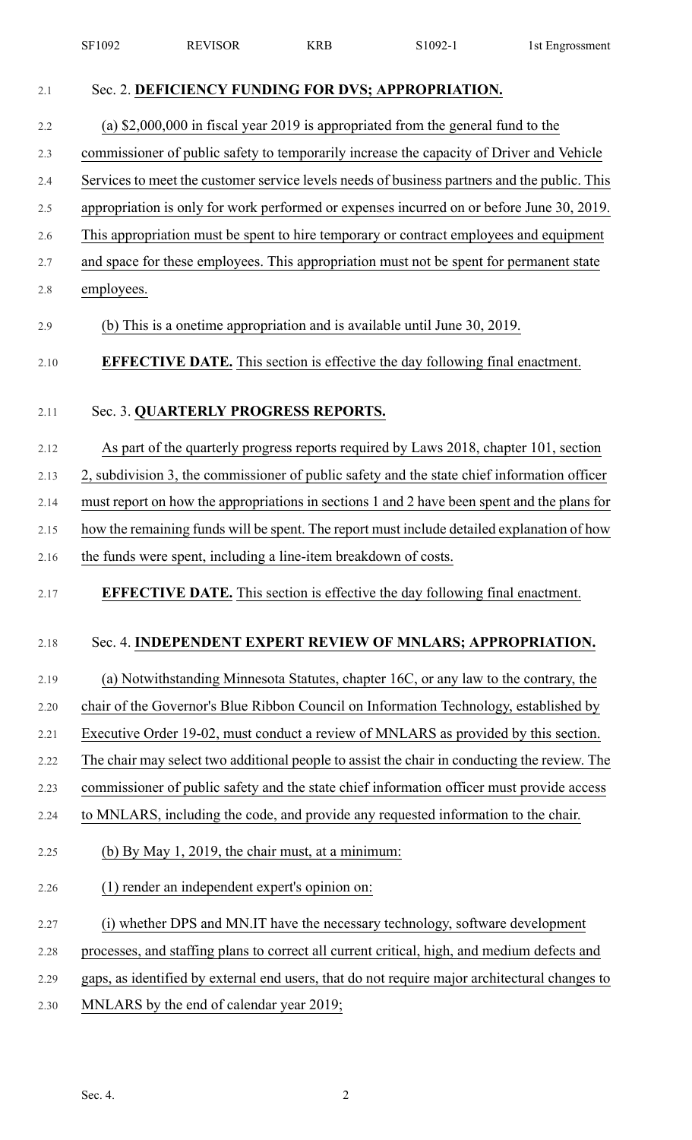|      | SF1092     | <b>REVISOR</b>                                                                           | <b>KRB</b> | S1092-1                                                                                       | 1st Engrossment |  |  |
|------|------------|------------------------------------------------------------------------------------------|------------|-----------------------------------------------------------------------------------------------|-----------------|--|--|
| 2.1  |            |                                                                                          |            | Sec. 2. DEFICIENCY FUNDING FOR DVS; APPROPRIATION.                                            |                 |  |  |
| 2.2  |            |                                                                                          |            | (a) $$2,000,000$ in fiscal year 2019 is appropriated from the general fund to the             |                 |  |  |
| 2.3  |            | commissioner of public safety to temporarily increase the capacity of Driver and Vehicle |            |                                                                                               |                 |  |  |
| 2.4  |            |                                                                                          |            | Services to meet the customer service levels needs of business partners and the public. This  |                 |  |  |
| 2.5  |            |                                                                                          |            | appropriation is only for work performed or expenses incurred on or before June 30, 2019.     |                 |  |  |
| 2.6  |            |                                                                                          |            | This appropriation must be spent to hire temporary or contract employees and equipment        |                 |  |  |
| 2.7  |            |                                                                                          |            | and space for these employees. This appropriation must not be spent for permanent state       |                 |  |  |
| 2.8  | employees. |                                                                                          |            |                                                                                               |                 |  |  |
| 2.9  |            |                                                                                          |            | (b) This is a onetime appropriation and is available until June 30, 2019.                     |                 |  |  |
| 2.10 |            |                                                                                          |            | <b>EFFECTIVE DATE.</b> This section is effective the day following final enactment.           |                 |  |  |
| 2.11 |            | Sec. 3. QUARTERLY PROGRESS REPORTS.                                                      |            |                                                                                               |                 |  |  |
| 2.12 |            |                                                                                          |            | As part of the quarterly progress reports required by Laws 2018, chapter 101, section         |                 |  |  |
| 2.13 |            |                                                                                          |            | 2, subdivision 3, the commissioner of public safety and the state chief information officer   |                 |  |  |
| 2.14 |            |                                                                                          |            | must report on how the appropriations in sections 1 and 2 have been spent and the plans for   |                 |  |  |
| 2.15 |            |                                                                                          |            | how the remaining funds will be spent. The report must include detailed explanation of how    |                 |  |  |
| 2.16 |            | the funds were spent, including a line-item breakdown of costs.                          |            |                                                                                               |                 |  |  |
| 2.17 |            |                                                                                          |            | <b>EFFECTIVE DATE.</b> This section is effective the day following final enactment.           |                 |  |  |
| 2.18 |            |                                                                                          |            | Sec. 4. INDEPENDENT EXPERT REVIEW OF MNLARS; APPROPRIATION.                                   |                 |  |  |
| 2.19 |            |                                                                                          |            | (a) Notwithstanding Minnesota Statutes, chapter 16C, or any law to the contrary, the          |                 |  |  |
| 2.20 |            |                                                                                          |            | chair of the Governor's Blue Ribbon Council on Information Technology, established by         |                 |  |  |
| 2.21 |            |                                                                                          |            | Executive Order 19-02, must conduct a review of MNLARS as provided by this section.           |                 |  |  |
| 2.22 |            |                                                                                          |            | The chair may select two additional people to assist the chair in conducting the review. The  |                 |  |  |
| 2.23 |            |                                                                                          |            | commissioner of public safety and the state chief information officer must provide access     |                 |  |  |
| 2.24 |            |                                                                                          |            | to MNLARS, including the code, and provide any requested information to the chair.            |                 |  |  |
| 2.25 |            | (b) By May 1, 2019, the chair must, at a minimum:                                        |            |                                                                                               |                 |  |  |
| 2.26 |            | (1) render an independent expert's opinion on:                                           |            |                                                                                               |                 |  |  |
| 2.27 |            |                                                                                          |            | (i) whether DPS and MN.IT have the necessary technology, software development                 |                 |  |  |
| 2.28 |            |                                                                                          |            | processes, and staffing plans to correct all current critical, high, and medium defects and   |                 |  |  |
| 2.29 |            |                                                                                          |            | gaps, as identified by external end users, that do not require major architectural changes to |                 |  |  |
| 2.30 |            | MNLARS by the end of calendar year 2019;                                                 |            |                                                                                               |                 |  |  |
|      |            |                                                                                          |            |                                                                                               |                 |  |  |